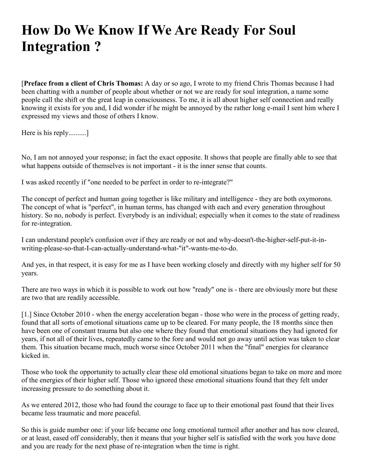# **How Do We Know If We Are Ready For Soul Integration ?**

[**Preface from a client of Chris Thomas:** A day or so ago, I wrote to my friend Chris Thomas because I had been chatting with a number of people about whether or not we are ready for soul integration, a name some people call the shift or the great leap in consciousness. To me, it is all about higher self connection and really knowing it exists for you and, I did wonder if he might be annoyed by the rather long e-mail I sent him where I expressed my views and those of others I know.

Here is his reply..........]

No, I am not annoyed your response; in fact the exact opposite. It shows that people are finally able to see that what happens outside of themselves is not important - it is the inner sense that counts.

I was asked recently if "one needed to be perfect in order to re-integrate?"

The concept of perfect and human going together is like military and intelligence - they are both oxymorons. The concept of what is "perfect", in human terms, has changed with each and every generation throughout history. So no, nobody is perfect. Everybody is an individual; especially when it comes to the state of readiness for re-integration.

I can understand people's confusion over if they are ready or not and why-doesn't-the-higher-self-put-it-inwriting-please-so-that-I-can-actually-understand-what-"it"-wants-me-to-do.

And yes, in that respect, it is easy for me as I have been working closely and directly with my higher self for 50 years.

There are two ways in which it is possible to work out how "ready" one is - there are obviously more but these are two that are readily accessible.

[1.] Since October 2010 - when the energy acceleration began - those who were in the process of getting ready, found that all sorts of emotional situations came up to be cleared. For many people, the 18 months since then have been one of constant trauma but also one where they found that emotional situations they had ignored for years, if not all of their lives, repeatedly came to the fore and would not go away until action was taken to clear them. This situation became much, much worse since October 2011 when the "final" energies for clearance kicked in.

Those who took the opportunity to actually clear these old emotional situations began to take on more and more of the energies of their higher self. Those who ignored these emotional situations found that they felt under increasing pressure to do something about it.

As we entered 2012, those who had found the courage to face up to their emotional past found that their lives became less traumatic and more peaceful.

So this is guide number one: if your life became one long emotional turmoil after another and has now cleared, or at least, eased off considerably, then it means that your higher self is satisfied with the work you have done and you are ready for the next phase of re-integration when the time is right.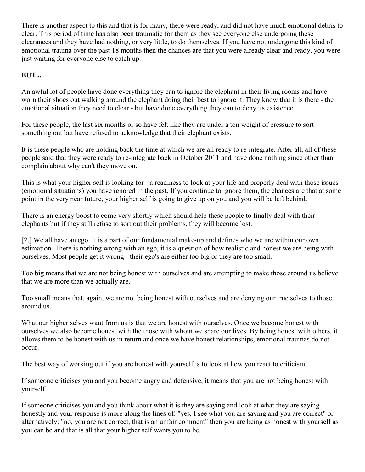There is another aspect to this and that is for many, there were ready, and did not have much emotional debris to clear. This period of time has also been traumatic for them as they see everyone else undergoing these clearances and they have had nothing, or very little, to do themselves. If you have not undergone this kind of emotional trauma over the past 18 months then the chances are that you were already clear and ready, you were just waiting for everyone else to catch up.

## **BUT...**

An awful lot of people have done everything they can to ignore the elephant in their living rooms and have worn their shoes out walking around the elephant doing their best to ignore it. They know that it is there - the emotional situation they need to clear - but have done everything they can to deny its existence.

For these people, the last six months or so have felt like they are under a ton weight of pressure to sort something out but have refused to acknowledge that their elephant exists.

It is these people who are holding back the time at which we are all ready to re-integrate. After all, all of these people said that they were ready to re-integrate back in October 2011 and have done nothing since other than complain about why can't they move on.

This is what your higher self is looking for - a readiness to look at your life and properly deal with those issues (emotional situations) you have ignored in the past. If you continue to ignore them, the chances are that at some point in the very near future, your higher self is going to give up on you and you will be left behind.

There is an energy boost to come very shortly which should help these people to finally deal with their elephants but if they still refuse to sort out their problems, they will become lost.

[2.] We all have an ego. It is a part of our fundamental make-up and defines who we are within our own estimation. There is nothing wrong with an ego, it is a question of how realistic and honest we are being with ourselves. Most people get it wrong - their ego's are either too big or they are too small.

Too big means that we are not being honest with ourselves and are attempting to make those around us believe that we are more than we actually are.

Too small means that, again, we are not being honest with ourselves and are denying our true selves to those around us.

What our higher selves want from us is that we are honest with ourselves. Once we become honest with ourselves we also become honest with the those with whom we share our lives. By being honest with others, it allows them to be honest with us in return and once we have honest relationships, emotional traumas do not occur.

The best way of working out if you are honest with yourself is to look at how you react to criticism.

If someone criticises you and you become angry and defensive, it means that you are not being honest with yourself.

If someone criticises you and you think about what it is they are saying and look at what they are saying honestly and your response is more along the lines of: "yes, I see what you are saying and you are correct" or alternatively: "no, you are not correct, that is an unfair comment" then you are being as honest with yourself as you can be and that is all that your higher self wants you to be.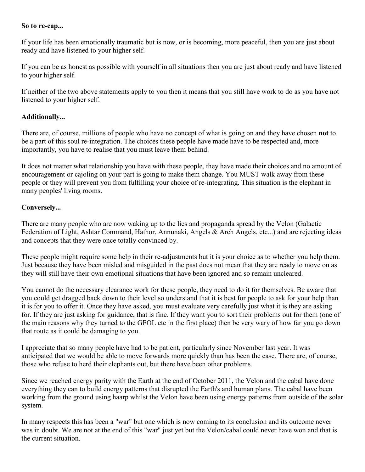#### **So to re-cap...**

If your life has been emotionally traumatic but is now, or is becoming, more peaceful, then you are just about ready and have listened to your higher self.

If you can be as honest as possible with yourself in all situations then you are just about ready and have listened to your higher self.

If neither of the two above statements apply to you then it means that you still have work to do as you have not listened to your higher self.

### **Additionally...**

There are, of course, millions of people who have no concept of what is going on and they have chosen **not** to be a part of this soul re-integration. The choices these people have made have to be respected and, more importantly, you have to realise that you must leave them behind.

It does not matter what relationship you have with these people, they have made their choices and no amount of encouragement or cajoling on your part is going to make them change. You MUST walk away from these people or they will prevent you from fulfilling your choice of re-integrating. This situation is the elephant in many peoples' living rooms.

#### **Conversely...**

There are many people who are now waking up to the lies and propaganda spread by the Velon (Galactic Federation of Light, Ashtar Command, Hathor, Annunaki, Angels & Arch Angels, etc...) and are rejecting ideas and concepts that they were once totally convinced by.

These people might require some help in their re-adjustments but it is your choice as to whether you help them. Just because they have been misled and misguided in the past does not mean that they are ready to move on as they will still have their own emotional situations that have been ignored and so remain uncleared.

You cannot do the necessary clearance work for these people, they need to do it for themselves. Be aware that you could get dragged back down to their level so understand that it is best for people to ask for your help than it is for you to offer it. Once they have asked, you must evaluate very carefully just what it is they are asking for. If they are just asking for guidance, that is fine. If they want you to sort their problems out for them (one of the main reasons why they turned to the GFOL etc in the first place) then be very wary of how far you go down that route as it could be damaging to you.

I appreciate that so many people have had to be patient, particularly since November last year. It was anticipated that we would be able to move forwards more quickly than has been the case. There are, of course, those who refuse to herd their elephants out, but there have been other problems.

Since we reached energy parity with the Earth at the end of October 2011, the Velon and the cabal have done everything they can to build energy patterns that disrupted the Earth's and human plans. The cabal have been working from the ground using haarp whilst the Velon have been using energy patterns from outside of the solar system.

In many respects this has been a "war" but one which is now coming to its conclusion and its outcome never was in doubt. We are not at the end of this "war" just yet but the Velon/cabal could never have won and that is the current situation.